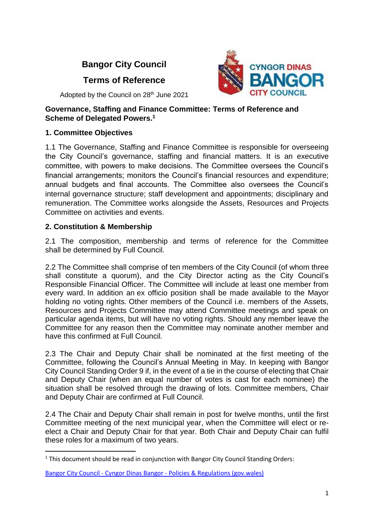# **Bangor City Council**

## **Terms of Reference**



Adopted by the Council on 28<sup>th</sup> June 2021

#### **Governance, Staffing and Finance Committee: Terms of Reference and Scheme of Delegated Powers. 1**

## **1. Committee Objectives**

1.1 The Governance, Staffing and Finance Committee is responsible for overseeing the City Council's governance, staffing and financial matters. It is an executive committee, with powers to make decisions. The Committee oversees the Council's financial arrangements; monitors the Council's financial resources and expenditure; annual budgets and final accounts. The Committee also oversees the Council's internal governance structure; staff development and appointments; disciplinary and remuneration. The Committee works alongside the Assets, Resources and Projects Committee on activities and events.

## **2. Constitution & Membership**

1

2.1 The composition, membership and terms of reference for the Committee shall be determined by Full Council.

2.2 The Committee shall comprise of ten members of the City Council (of whom three shall constitute a quorum), and the City Director acting as the City Council's Responsible Financial Officer. The Committee will include at least one member from every ward. In addition an ex officio position shall be made available to the Mayor holding no voting rights. Other members of the Council i.e. members of the Assets, Resources and Projects Committee may attend Committee meetings and speak on particular agenda items, but will have no voting rights. Should any member leave the Committee for any reason then the Committee may nominate another member and have this confirmed at Full Council.

2.3 The Chair and Deputy Chair shall be nominated at the first meeting of the Committee, following the Council's Annual Meeting in May. In keeping with Bangor City Council Standing Order 9 if, in the event of a tie in the course of electing that Chair and Deputy Chair (when an equal number of votes is cast for each nominee) the situation shall be resolved through the drawing of lots. Committee members, Chair and Deputy Chair are confirmed at Full Council.

2.4 The Chair and Deputy Chair shall remain in post for twelve months, until the first Committee meeting of the next municipal year, when the Committee will elect or reelect a Chair and Deputy Chair for that year. Both Chair and Deputy Chair can fulfil these roles for a maximum of two years.

 $1$  This document should be read in conjunction with Bangor City Council Standing Orders:

Bangor City Council - Cyngor Dinas Bangor - [Policies & Regulations \(gov.wales\)](https://bangorcitycouncil.gov.wales/Policies-Regulations)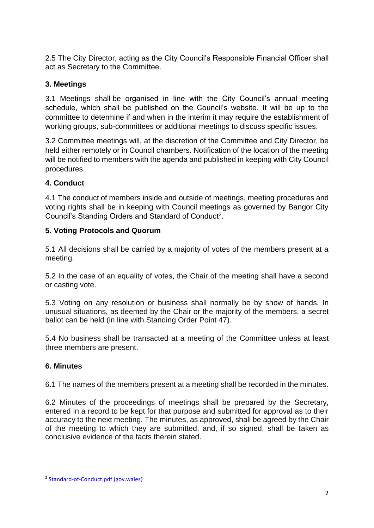2.5 The City Director, acting as the City Council's Responsible Financial Officer shall act as Secretary to the Committee.

## **3. Meetings**

3.1 Meetings shall be organised in line with the City Council's annual meeting schedule, which shall be published on the Council's website. It will be up to the committee to determine if and when in the interim it may require the establishment of working groups, sub-committees or additional meetings to discuss specific issues.

3.2 Committee meetings will, at the discretion of the Committee and City Director, be held either remotely or in Council chambers. Notification of the location of the meeting will be notified to members with the agenda and published in keeping with City Council procedures.

## **4. Conduct**

4.1 The conduct of members inside and outside of meetings, meeting procedures and voting rights shall be in keeping with Council meetings as governed by Bangor City Council's Standing Orders and Standard of Conduct<sup>2</sup>.

## **5. Voting Protocols and Quorum**

5.1 All decisions shall be carried by a majority of votes of the members present at a meeting.

5.2 In the case of an equality of votes, the Chair of the meeting shall have a second or casting vote.

5.3 Voting on any resolution or business shall normally be by show of hands. In unusual situations, as deemed by the Chair or the majority of the members, a secret ballot can be held (in line with Standing Order Point 47).

5.4 No business shall be transacted at a meeting of the Committee unless at least three members are present.

## **6. Minutes**

**.** 

6.1 The names of the members present at a meeting shall be recorded in the minutes.

6.2 Minutes of the proceedings of meetings shall be prepared by the Secretary, entered in a record to be kept for that purpose and submitted for approval as to their accuracy to the next meeting. The minutes, as approved, shall be agreed by the Chair of the meeting to which they are submitted, and, if so signed, shall be taken as conclusive evidence of the facts therein stated.

<sup>&</sup>lt;sup>2</sup> [Standard-of-Conduct.pdf \(gov.wales\)](https://bangorcitycouncil.gov.wales/Content/Upload/Standard-of-Conduct.pdf)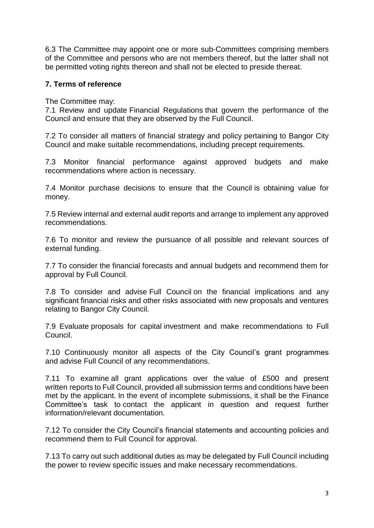6.3 The Committee may appoint one or more sub-Committees comprising members of the Committee and persons who are not members thereof, but the latter shall not be permitted voting rights thereon and shall not be elected to preside thereat.

## **7. Terms of reference**

The Committee may:

7.1 Review and update Financial Regulations that govern the performance of the Council and ensure that they are observed by the Full Council.

7.2 To consider all matters of financial strategy and policy pertaining to Bangor City Council and make suitable recommendations, including precept requirements.

7.3 Monitor financial performance against approved budgets and make recommendations where action is necessary.

7.4 Monitor purchase decisions to ensure that the Council is obtaining value for money.

7.5 Review internal and external audit reports and arrange to implement any approved recommendations.

7.6 To monitor and review the pursuance of all possible and relevant sources of external funding.

7.7 To consider the financial forecasts and annual budgets and recommend them for approval by Full Council.

7.8 To consider and advise Full Council on the financial implications and any significant financial risks and other risks associated with new proposals and ventures relating to Bangor City Council.

7.9 Evaluate proposals for capital investment and make recommendations to Full Council.

7.10 Continuously monitor all aspects of the City Council's grant programmes and advise Full Council of any recommendations.

7.11 To examine all grant applications over the value of £500 and present written reports to Full Council, provided all submission terms and conditions have been met by the applicant. In the event of incomplete submissions, it shall be the Finance Committee's task to contact the applicant in question and request further information/relevant documentation.

7.12 To consider the City Council's financial statements and accounting policies and recommend them to Full Council for approval.

7.13 To carry out such additional duties as may be delegated by Full Council including the power to review specific issues and make necessary recommendations.